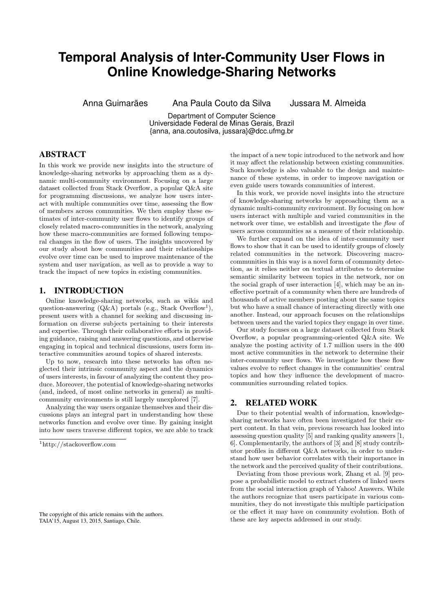# **Temporal Analysis of Inter-Community User Flows in Online Knowledge-Sharing Networks**

Anna Guimarães Ana Paula Couto da Silva Jussara M. Almeida

Department of Computer Science Universidade Federal de Minas Gerais, Brazil {anna, ana.coutosilva, jussara}@dcc.ufmg.br

## ABSTRACT

In this work we provide new insights into the structure of knowledge-sharing networks by approaching them as a dynamic multi-community environment. Focusing on a large dataset collected from Stack Overflow, a popular Q&A site for programming discussions, we analyze how users interact with multiple communities over time, assessing the flow of members across communities. We then employ these estimates of inter-community user flows to identify groups of closely related macro-communities in the network, analyzing how these macro-communities are formed following temporal changes in the flow of users. The insights uncovered by our study about how communities and their relationships evolve over time can be used to improve maintenance of the system and user navigation, as well as to provide a way to track the impact of new topics in existing communities.

## 1. INTRODUCTION

Online knowledge-sharing networks, such as wikis and question-answering  $(Q\&A)$  portals (e.g., Stack Overflow<sup>1</sup>), present users with a channel for seeking and discussing information on diverse subjects pertaining to their interests and expertise. Through their collaborative efforts in providing guidance, raising and answering questions, and otherwise engaging in topical and technical discussions, users form interactive communities around topics of shared interests.

Up to now, research into these networks has often neglected their intrinsic community aspect and the dynamics of users interests, in favour of analyzing the content they produce. Moreover, the potential of knowledge-sharing networks (and, indeed, of most online networks in general) as multicommunity environments is still largely unexplored [7].

Analyzing the way users organize themselves and their discussions plays an integral part in understanding how these networks function and evolve over time. By gaining insight into how users traverse different topics, we are able to track

The copyright of this article remains with the authors. TAIA'15, August 13, 2015, Santiago, Chile.

the impact of a new topic introduced to the network and how it may affect the relationship between existing communities. Such knowledge is also valuable to the design and maintenance of these systems, in order to improve navigation or even guide users towards communities of interest.

In this work, we provide novel insights into the structure of knowledge-sharing networks by approaching them as a dynamic multi-community environment. By focusing on how users interact with multiple and varied communities in the network over time, we establish and investigate the flow of users across communities as a measure of their relationship.

We further expand on the idea of inter-community user flows to show that it can be used to identify groups of closely related communities in the network. Discovering macrocommunities in this way is a novel form of community detection, as it relies neither on textual attributes to determine semantic similarity between topics in the network, nor on the social graph of user interaction [4], which may be an ineffective portrait of a community when there are hundreds of thousands of active members posting about the same topics but who have a small chance of interacting directly with one another. Instead, our approach focuses on the relationships between users and the varied topics they engage in over time.

Our study focuses on a large dataset collected from Stack Overflow, a popular programming-oriented Q&A site. We analyze the posting activity of 1.7 million users in the 400 most active communities in the network to determine their inter-community user flows. We investigate how these flow values evolve to reflect changes in the communities' central topics and how they influence the development of macrocommunities surrounding related topics.

## 2. RELATED WORK

Due to their potential wealth of information, knowledgesharing networks have often been investigated for their expert content. In that vein, previous research has looked into assessing question quality [5] and ranking quality answers [1, 6]. Complementarily, the authors of [3] and [8] study contributor profiles in different Q&A networks, in order to understand how user behavior correlates with their importance in the network and the perceived quality of their contributions.

Deviating from those previous work, Zhang et al. [9] propose a probabilistic model to extract clusters of linked users from the social interaction graph of Yahoo! Answers. While the authors recognize that users participate in various communities, they do not investigate this multiple participation or the effect it may have on community evolution. Both of these are key aspects addressed in our study.

<sup>1</sup>http://stackoverflow.com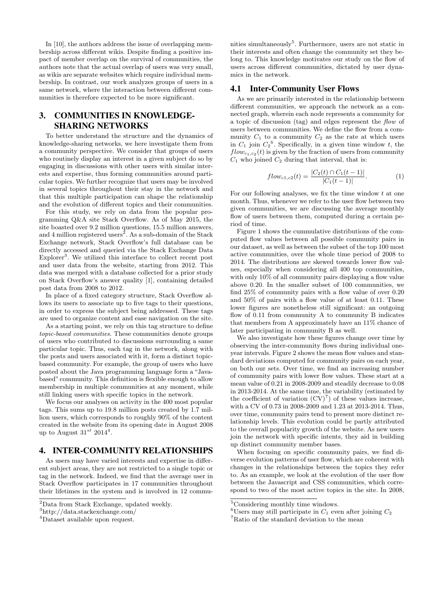In [10], the authors address the issue of overlapping membership across different wikis. Despite finding a positive impact of member overlap on the survival of communities, the authors note that the actual overlap of users was very small, as wikis are separate websites which require individual membership. In contrast, our work analyzes groups of users in a same network, where the interaction between different communities is therefore expected to be more significant.

# 3. COMMUNITIES IN KNOWLEDGE-SHARING NETWORKS

To better understand the structure and the dynamics of knowledge-sharing networks, we here investigate them from a community perspective. We consider that groups of users who routinely display an interest in a given subject do so by engaging in discussions with other users with similar interests and expertise, thus forming communities around particular topics. We further recognize that users may be involved in several topics throughout their stay in the network and that this multiple participation can shape the relationship and the evolution of different topics and their communities.

For this study, we rely on data from the popular programming Q&A site Stack Overflow. As of May 2015, the site boasted over 9.2 million questions, 15.5 million answers, and 4 million registered users<sup>2</sup>. As a sub-domain of the Stack Exchange network, Stack Overflow's full database can be directly accessed and queried via the Stack Exchange Data Explorer<sup>3</sup>. We utilized this interface to collect recent post and user data from the website, starting from 2012. This data was merged with a database collected for a prior study on Stack Overflow's answer quality [1], containing detailed post data from 2008 to 2012.

In place of a fixed category structure, Stack Overflow allows its users to associate up to five tags to their questions, in order to express the subject being addressed. These tags are used to organize content and ease navigation on the site.

As a starting point, we rely on this tag structure to define topic-based communities. These communities denote groups of users who contributed to discussions surrounding a same particular topic. Thus, each tag in the network, along with the posts and users associated with it, form a distinct topicbased community. For example, the group of users who have posted about the Java programming language form a "Javabased" community. This definition is flexible enough to allow membership in multiple communities at any moment, while still linking users with specific topics in the network.

We focus our analyses on activity in the 400 most popular tags. This sums up to 19.8 million posts created by 1.7 million users, which corresponds to roughly 90% of the content created in the website from its opening date in August 2008 up to August  $31^{st}$  2014<sup>4</sup>.

## 4. INTER-COMMUNITY RELATIONSHIPS

As users may have varied interests and expertise in different subject areas, they are not restricted to a single topic or tag in the network. Indeed, we find that the average user in Stack Overflow participates in 17 communities throughout their lifetimes in the system and is involved in 12 commu-

nities simultaneously<sup>5</sup>. Furthermore, users are not static in their interests and often change the community set they belong to. This knowledge motivates our study on the flow of users across different communities, dictated by user dynamics in the network.

#### 4.1 Inter-Community User Flows

As we are primarily interested in the relationship between different communities, we approach the network as a connected graph, wherein each node represents a community for a topic of discussion (tag) and edges represent the flow of users between communities. We define the flow from a community  $C_1$  to a community  $C_2$  as the rate at which users in  $C_1$  join  $C_2$ <sup>6</sup>. Specifically, in a given time window t, the  $flow_{c_1,c_2}(t)$  is given by the fraction of users from community  $C_1$  who joined  $C_2$  during that interval, that is:

$$
flow_{c1,c2}(t) = \frac{|C_2(t) \cap C_1(t-1)|}{|C_1(t-1)|}.
$$
 (1)

For our following analyses, we fix the time window  $t$  at one month. Thus, whenever we refer to the user flow between two given communities, we are discussing the average monthly flow of users between them, computed during a certain period of time.

Figure 1 shows the cummulative distributions of the computed flow values between all possible community pairs in our dataset, as well as between the subset of the top 100 most active communities, over the whole time period of 2008 to 2014. The distributions are skewed towards lower flow values, especially when considering all 400 top communities, with only 10% of all community pairs displaying a flow value above 0.20. In the smaller subset of 100 communities, we find 25% of community pairs with a flow value of over 0.20 and 50% of pairs with a flow value of at least 0.11. These lower figures are nonetheless still significant: an outgoing flow of 0.11 from community A to community B indicates that members from A approximately have an 11% chance of later participating in community B as well.

We also investigate how these figures change over time by observing the inter-community flows during individual oneyear intervals. Figure 2 shows the mean flow values and standard deviations computed for community pairs on each year, on both our sets. Over time, we find an increasing number of community pairs with lower flow values. These start at a mean value of 0.21 in 2008-2009 and steadily decrease to 0.08 in 2013-2014. At the same time, the variability (estimated by the coefficient of variation  $(CV)^7$  of these values increase, with a CV of 0.73 in 2008-2009 and 1.23 at 2013-2014. Thus, over time, community pairs tend to present more distinct relationship levels. This evolution could be partly attributed to the overall popularity growth of the website. As new users join the network with specific intents, they aid in building up distinct community member bases.

When focusing on specific community pairs, we find diverse evolution patterns of user flow, which are coherent with changes in the relationships between the topics they refer to. As an example, we look at the evolution of the user flow between the Javascript and CSS communities, which correspond to two of the most active topics in the site. In 2008,

<sup>&</sup>lt;sup>2</sup>Data from Stack Exchange, updated weekly.

<sup>3</sup>http://data.stackexchange.com/

<sup>4</sup>Dataset available upon request.

<sup>&</sup>lt;sup>5</sup>Considering monthly time windows.

<sup>&</sup>lt;sup>6</sup>Users may still participate in  $C_1$  even after joining  $C_2$ 

<sup>7</sup>Ratio of the standard deviation to the mean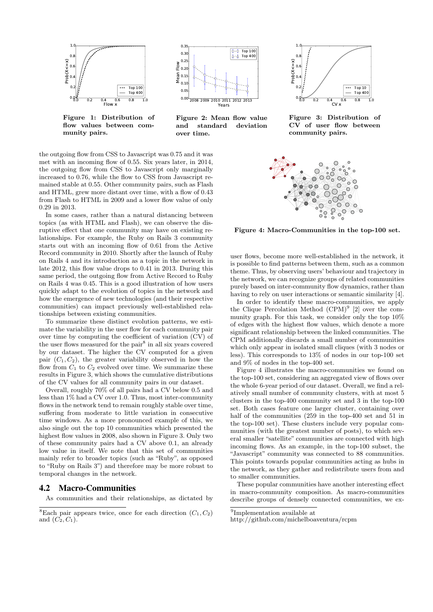

Figure 1: Distribution of flow values between community pairs.



Figure 2: Mean flow value and standard deviation over time.

the outgoing flow from CSS to Javascript was 0.75 and it was met with an incoming flow of 0.55. Six years later, in 2014, the outgoing flow from CSS to Javascript only marginally increased to 0.76, while the flow to CSS from Javascript remained stable at 0.55. Other community pairs, such as Flash and HTML, grew more distant over time, with a flow of 0.43 from Flash to HTML in 2009 and a lower flow value of only 0.29 in 2013.

In some cases, rather than a natural distancing between topics (as with HTML and Flash), we can observe the disruptive effect that one community may have on existing relationships. For example, the Ruby on Rails 3 community starts out with an incoming flow of 0.61 from the Active Record community in 2010. Shortly after the launch of Ruby on Rails 4 and its introduction as a topic in the network in late 2012, this flow value drops to 0.41 in 2013. During this same period, the outgoing flow from Active Record to Ruby on Rails 4 was 0.45. This is a good illustration of how users quickly adapt to the evolution of topics in the network and how the emergence of new technologies (and their respective communities) can impact previously well-established relationships between existing communities.

To summarize these distinct evolution patterns, we estimate the variability in the user flow for each community pair over time by computing the coefficient of variation (CV) of the user flows measured for the pair<sup>8</sup> in all six years covered by our dataset. The higher the CV computed for a given pair  $(C_1, C_2)$ , the greater variability observed in how the flow from  $C_1$  to  $C_2$  evolved over time. We summarize these results in Figure 3, which shows the cumulative distributions of the CV values for all community pairs in our dataset.

Overall, roughly 70% of all pairs had a CV below 0.5 and less than 1% had a CV over 1.0. Thus, most inter-community flows in the network tend to remain roughly stable over time, suffering from moderate to little variation in consecutive time windows. As a more pronounced example of this, we also single out the top 10 communities which presented the highest flow values in 2008, also shown in Figure 3. Only two of these community pairs had a CV above 0.1, an already low value in itself. We note that this set of communities mainly refer to broader topics (such as "Ruby", as opposed to "Ruby on Rails 3") and therefore may be more robust to temporal changes in the network.

#### 4.2 Macro-Communities

As communities and their relationships, as dictated by



Figure 3: Distribution of CV of user flow between community pairs.



Figure 4: Macro-Communities in the top-100 set.

user flows, become more well-established in the network, it is possible to find patterns between them, such as a common theme. Thus, by observing users' behaviour and trajectory in the network, we can recognize groups of related communities purely based on inter-community flow dynamics, rather than having to rely on user interactions or semantic similarity [4].

In order to identify these macro-communities, we apply the Clique Percolation Method  $(CPM)^9$  [2] over the community graph. For this task, we consider only the top 10% of edges with the highest flow values, which denote a more significant relationship between the linked communities. The CPM additionally discards a small number of communities which only appear in isolated small cliques (with 3 nodes or less). This corresponds to 13% of nodes in our top-100 set and 9% of nodes in the top-400 set.

Figure 4 illustrates the macro-communities we found on the top-100 set, considering an aggregated view of flows over the whole 6-year period of our dataset. Overall, we find a relatively small number of community clusters, with at most 5 clusters in the top-400 community set and 3 in the top-100 set. Both cases feature one larger cluster, containing over half of the communities (259 in the top-400 set and 51 in the top-100 set). These clusters include very popular communities (with the greatest number of posts), to which several smaller "satellite" communities are connected with high incoming flows. As an example, in the top-100 subset, the "Javascript" community was connected to 88 communities. This points towards popular communities acting as hubs in the network, as they gather and redistribute users from and to smaller communities.

These popular communities have another interesting effect in macro-community composition. As macro-communities describe groups of densely connected communities, we ex-

<sup>&</sup>lt;sup>8</sup>Each pair appears twice, once for each direction  $(C_1, C_2)$ and  $(C_2, C_1)$ .

<sup>9</sup> Implementation available at

http://github.com/michelboaventura/rcpm